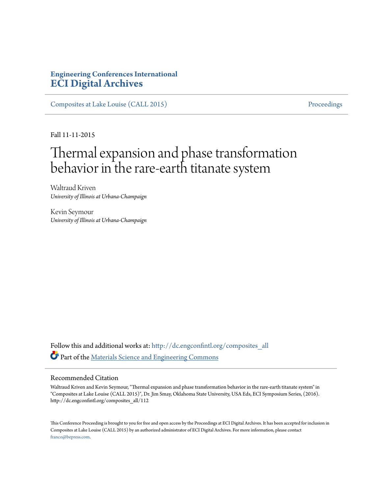## **Engineering Conferences International [ECI Digital Archives](http://dc.engconfintl.org?utm_source=dc.engconfintl.org%2Fcomposites_all%2F112&utm_medium=PDF&utm_campaign=PDFCoverPages)**

[Composites at Lake Louise \(CALL 2015\)](http://dc.engconfintl.org/composites_all?utm_source=dc.engconfintl.org%2Fcomposites_all%2F112&utm_medium=PDF&utm_campaign=PDFCoverPages) [Proceedings](http://dc.engconfintl.org/proceedings?utm_source=dc.engconfintl.org%2Fcomposites_all%2F112&utm_medium=PDF&utm_campaign=PDFCoverPages)

Fall 11-11-2015

# Thermal expansion and phase transformation behavior in the rare-earth titanate system

Waltraud Kriven *University of Illinois at Urbana-Champaign*

Kevin Seymour *University of Illinois at Urbana-Champaign*

Follow this and additional works at: [http://dc.engconfintl.org/composites\\_all](http://dc.engconfintl.org/composites_all?utm_source=dc.engconfintl.org%2Fcomposites_all%2F112&utm_medium=PDF&utm_campaign=PDFCoverPages) Part of the [Materials Science and Engineering Commons](http://network.bepress.com/hgg/discipline/285?utm_source=dc.engconfintl.org%2Fcomposites_all%2F112&utm_medium=PDF&utm_campaign=PDFCoverPages)

#### Recommended Citation

Waltraud Kriven and Kevin Seymour, "Thermal expansion and phase transformation behavior in the rare-earth titanate system" in "Composites at Lake Louise (CALL 2015)", Dr. Jim Smay, Oklahoma State University, USA Eds, ECI Symposium Series, (2016). http://dc.engconfintl.org/composites\_all/112

This Conference Proceeding is brought to you for free and open access by the Proceedings at ECI Digital Archives. It has been accepted for inclusion in Composites at Lake Louise (CALL 2015) by an authorized administrator of ECI Digital Archives. For more information, please contact [franco@bepress.com.](mailto:franco@bepress.com)